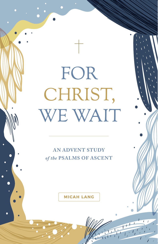# FOR CHRIST, WE WAIT

**AN ADVENT STUDY**  *of the* **PSALMS OF ASCENT**

**MICAH LANG**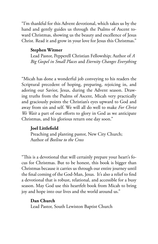"I'm thankful for this Advent devotional, which takes us by the hand and gently guides us through the Psalms of Ascent toward Christmas, showing us the beauty and excellence of Jesus Christ. Read it and grow in your love for Jesus this Christmas."

### **Stephen Witmer**

Lead Pastor, Pepperell Christian Fellowship; Author of *A Big Gospel in Small Places* and *Eternity Changes Everything* 

"Micah has done a wonderful job conveying to his readers the Scriptural precedent of hoping, preparing, rejoicing in, and adoring our Savior, Jesus, during the Advent season. Drawing truths from the Psalms of Ascent, Micah very practically and graciously points the Christian's eyes upward to God and away from sin and self. We will all do well to make *For Christ We Wait* a part of our efforts to glory in God as we anticipate Christmas, and his glorious return one day soon."

### **Joel Littlefield**

Preaching and planting pastor, New City Church; Author of *Beeline to the Cross*

"This is a devotional that will certainly prepare your heart's focus for Christmas. But to be honest, this book is bigger than Christmas because it carries us through our entire journey until the final coming of the God-Man, Jesus. It's also a relief to find a devotional that is robust, relational, and accessible for a busy season. May God use this heartfelt book from Micah to bring joy and hope into our lives and the world around us."

### **Dan Church**

Lead Pastor, South Lewiston Baptist Church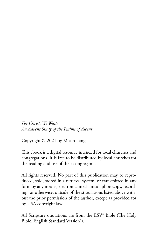*For Christ, We Wait: An Advent Study of the Psalms of Ascent* 

Copyright © 2021 by Micah Lang

This ebook is a digital resource intended for local churches and congregations. It is free to be distributed by local churches for the reading and use of their congregants.

All rights reserved. No part of this publication may be reproduced, sold, stored in a retrieval system, or transmitted in any form by any means, electronic, mechanical, photocopy, recording, or otherwise, outside of the stipulations listed above without the prior permission of the author, except as provided for by USA copyright law.

All Scripture quotations are from the ESV® Bible (The Holy Bible, English Standard Version®).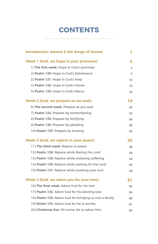### **CONTENTS**

| <b>Introduction: Advent &amp; the Songs of Ascent</b>  | 1  |
|--------------------------------------------------------|----|
| Week 1 (God, we hope in your promises)                 | 3  |
| 1) The first week: Hope in God's promises              | 4  |
| 2) Psalm 120: Hope in God's Deliverance                | 7  |
| 3) Psalm 121: Hope in God's Help                       | 10 |
| 4) Psalm 122: Hope in God's House                      | 13 |
| 5) Psalm 123: Hope in God's Mercy                      | 16 |
| Week 2 (God, we prepare as we wait)                    | 19 |
| 6) The second week: Prepare as you wait                | 20 |
| 7) Psalm 124: Prepare by remembering                   | 23 |
| 8) Psalm 125: Prepare by fortifying                    | 26 |
| 9) Psalm 126: Prepare by pleading                      | 29 |
| 10) Psalm 127: Prepare by trusting                     | 32 |
| Week 3 (God, we rejoice in your peace)                 | 35 |
| 11) The third week: Rejoice in peace                   | 36 |
| 12) Psalm 128: Rejoice while fearing the Lord          | 39 |
| 13) Psalm 129: Rejoice while enduring suffering        | 42 |
| 14) Psalm 130: Rejoice while waiting for the Lord      | 45 |
| 15) Psalm 131: Rejoice while quieting your soul        | 48 |
| Week 4 (God, we adore you for your love)               | 51 |
| 16) The final week: Adore God for his love             | 52 |
| 17) Psalm 132: Adore God for his electing love         | 55 |
| 18) Psalm 133: Adore God for bringing us into a family | 58 |
| 19) Psalm 134: Adore God for he is worthy              | 61 |
| 20) Christmas Eve: Oh come, let us adore him           | 64 |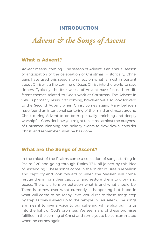### **INTRODUCTION**

### *Advent & the Songs of Ascent*

### **What is Advent?**

Advent means "coming." The season of Advent is an annual season of anticipation of the celebration of Christmas. Historically, Christians have used this season to reflect on what is most important about Christmas: the coming of Jesus Christ into the world to save sinners. Typically, the four weeks of Advent have focused on different themes related to God's work at Christmas. The Advent in view is primarily Jesus' first coming; however, we also look forward to the Second Advent when Christ comes again. Many believers have found an intentional centering of the mind and heart around Christ during Advent to be both spiritually enriching and deeply worshipful. Consider how you might take time amidst the busyness of Christmas planning and holiday events to slow down, consider Christ, and remember what he has done.

### **What are the Songs of Ascent?**

In the midst of the Psalms come a collection of songs starting in Psalm 120 and going through Psalm 134, all joined by this idea of "ascending." These songs come in the midst of Israel's rebellion and captivity and look forward to when the Messiah will come, rescue them from their captivity, and restore them to glory and peace. There is a tension between what is and what should be. There is sorrow over what currently is happening but hope in what will come to be. Many Jews would recite these songs step by step as they walked up to the temple in Jerusalem. The songs are meant to give a voice to our suffering while also pulling us into the light of God's promises. We see many of these promises fulfilled in the coming of Christ and some yet to be consummated when he comes again.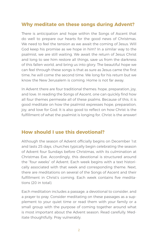### **Why meditate on these songs during Advent?**

There is anticipation and hope within the Songs of Ascent that do well to prepare our hearts for the good news of Christmas. We need to feel the tension as we await the coming of Jesus. Will God keep his promise as we hope in him? In a similar way to the psalmist, we are still waiting. We await the return of Jesus Christ and long to see him restore all things, save us from the darkness of this fallen world, and bring us into glory. The beautiful hope we can feel through these songs is that as sure as Jesus came the first time, he will come the second time. We long for his return but we know the New Jerusalem is coming. Home is not far away.

In Advent there are four traditional themes: hope, preparation, joy, and love. In reading the Songs of Ascent, one can quickly find how all four themes permeate all of these psalms. Because of this, it is good meditate on how the psalmist expresses hope, preparation, joy, and love for God. It is also good to reflect on how Christ is the fulfillment of what the psalmist is longing for. Christ is the answer!

### **How should I use this devotional?**

Although the season of Advent officially begins on December 1st and lasts 25 days, churches typically begin celebrating the season of Advent four Sundays before Christmas, with its culmination at Christmas Eve. Accordingly, this devotional is structured around the "four weeks" of Advent. Each week begins with a text historically associated with that week and corresponding theme. Next, there are meditations on several of the Songs of Ascent and their fulfillment in Christ's coming. Each week contains five meditations (20 in total).

Each meditation includes a passage, a devotional to consider, and a prayer to pray. Consider meditating on these passages as a supplement to your quiet time or read them with your family or a small group with the purpose of coming together around what is most important about the Advent season. Read carefully. Meditate thoughtfully. Pray vulnerably.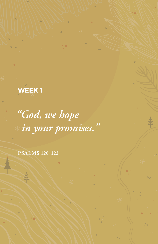**WEEK 1**

*"God, we hope in your promises."*

**PSALMS 120-123**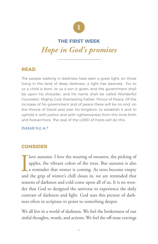

### **THE FIRST WEEK** *Hope in God's promises*

### **READ**

The people walking in darkness have seen a great light; on those living in the land of deep darkness, a light has dawned… For to us a child is born, to us a son is given; and the government shall be upon his shoulder, and his name shall be called Wonderful Counselor, Mighty God, Everlasting Father, Prince of Peace. Of the increase of his government and of peace there will be no end, on the throne of David and over his kingdom, to establish it and to uphold it with justice and with righteousness from this time forth and forevermore. The zeal of the LORD of hosts will do this.

**ISAIAH 9:2, 6-7**

### **CONSIDER**

I<br>and love autumn. I love the wearing of sweaters, the picking of apples, the vibrant colors of the trees. But autumn is also a reminder that winter is coming. As trees become empty and the grip of winter's chill closes in, we are reminded that seasons of darkness and cold come upon all of us. It is no wonder that God so designed the universe to experience the daily contrast of darkness and light. God uses this picture of darkness often in scripture to point to something deeper.

We all live in a world of darkness. We feel the brokenness of our sinful thoughts, words, and actions. We feel the off-tune cravings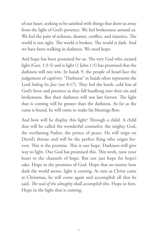of our heart, seeking to be satisfied with things that draw us away from the light of God's presence. We feel brokenness around us. We feel the pain of sickness, disaster, conflict, and injustice. The world is not right. The world is broken. The world is dark. And we have been walking in darkness. We need hope.

And hope has been promised for us. The very God who created light (Gen. 1:3-5) and is light (1 John 1:5) has promised that the darkness will not win. In Isaiah 9, the people of Israel face the judgement of captivity. "Darkness" in Isaiah often represents the Lord *hiding his face* (see 8:17). They feel the harsh, cold loss of God's favor and presence as they fall headlong into their sin and brokenness. But their darkness will not last forever. The light that is coming will be greater than the darkness. As far as the curse is found, he will come to make his blessings flow.

And how will he display this light? Through a child. A child that will be called the wonderful counselor, the mighty God, the everlasting Father, the prince of peace. He will reign on David's throne and will be the perfect King who reigns forever. This is the promise. This is our hope. Darkness will give way to light. Our God has promised this. This week, tune your heart to the channels of hope. But not just hope for hope's sake. Hope in the promises of God. Hope that no matter how dark the world seems, light is coming. As sure as Christ came at Christmas, he will come again and accomplish all that he said. *The zeal of the almighty shall accomplish this.* Hope in him. Hope in the light that is coming.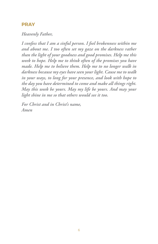### **PRAY**

#### *Heavenly Father,*

*I confess that I am a sinful person. I feel brokenness within me and about me. I too often set my gaze on the darkness rather than the light of your goodness and good promises. Help me this week to hope. Help me to think often of the promises you have made. Help me to believe them. Help me to no longer walk in darkness because my eyes have seen your light. Cause me to walk in your ways, to long for your presence, and look with hope to the day you have determined to come and make all things right. May this week be yours. May my life be yours. And may your light shine in me so that others would see it too.*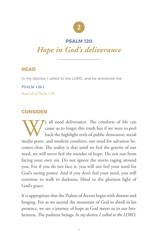

### **PSALM 120**

### *Hope in God's deliverance*

### **READ**

In my distress I called to the LORD, and he answered me.

**PSALM 120:1** *Read all of Psalm 120*

### **CONSIDER**

We all need deliverance. The comforts of life can<br>cause us to forget this truth but if we were to peel<br>back the highlight reels of public demeanor, social<br>media posts, and modern comforts, our need for salvation because us to forget this truth but if we were to peel back the highlight reels of public demeanor, social media posts, and modern comforts, our need for salvation becomes clear. The reality is that until we feel the gravity of our need, we will never feel the wonder of hope. Do not run from facing your own sin. Do not ignore the storm raging around you. For if you do not face it, you will not feel your need for God's saving power. And if you don't feel your need, you will continue to walk in darkness, blind to the glorious light of God's grace.

It is appropriate that the Psalms of Ascent begin with distress and longing. For as we ascend the mountain of God to dwell in his presence, we see a journey of hope as God meets us in our brokenness. The psalmist beings: *In my distress I called to the LORD,*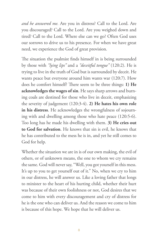*and he answered me.* Are you in distress? Call to the Lord. Are you discouraged? Call to the Lord. Are you weighed down and tired? Call to the Lord. Where else can we go? Often God uses our sorrows to drive us to his presence. For when we have great need, we experience the God of great provision.

The situation the psalmist finds himself in is being surrounded by those with *"lying lips"* and a *"deceitful tongue"* (120:2). He is trying to live in the truth of God but is surrounded by deceit. He wants peace but everyone around him wants war (120:7). How does he comfort himself? There seem to be three things: **1) He acknowledges the wages of sin**. He says sharp arrows and burning coals are destined for those who live in deceit, emphasizing the severity of judgement (120:3-4). **2) He hates his own role in his distress**. He acknowledges the wrongfulness of sojourning with and dwelling among those who hate peace (120:5-6). Too long has he made his dwelling with them. **3) He cries out to God for salvation**. He knows that sin is evil, he knows that he has contributed to the mess he is in, and yet he still comes to God for help.

Whether the situation we are in is of our own making, the evil of others, or of unknown means, the one to whom we cry remains the same. God will never say, "Well, you got yourself in this mess. It's up to you to get yourself out of it." No, when we cry to him in our distress, he will answer us. Like a loving father that longs to minister to the heart of his hurting child, whether their hurt was because of their own foolishness or not, God desires that we come to him with every discouragement and cry of distress for he is the one who can deliver us. And the reason we come to him is because of this hope. We hope that he will deliver us.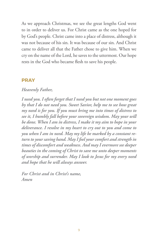As we approach Christmas, we see the great lengths God went to in order to deliver us. For Christ came as the one hoped for by God's people. Christ came into a place of distress, although it was not because of his sin. It was because of our sin. And Christ came to deliver all that the Father chose to give him. When we cry on the name of the Lord, he saves to the uttermost. Our hope rests in the God who became flesh to save his people.

#### **PRAY**

### *Heavenly Father,*

*I need you. I often forget that I need you but not one moment goes by that I do not need you. Sweet Savior, help me to see how great my need is for you. If you must bring me into times of distress to see it, I humbly fall before your sovereign wisdom. May your will be done. When I am in distress, I make it my aim to hope in your deliverance. I resolve in my heart to cry out to you and come to you when I am in need. May my life be marked by a constant return to your saving hand. May I feel your comfort and strength in times of discomfort and weakness. And may I evermore see deeper beauties in the coming of Christ to save me unto deeper moments of worship and surrender. May I look to Jesus for my every need and hope that he will always answer.*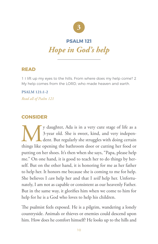

### **PSALM 121** *Hope in God's help*

### **READ**

1 I lift up my eyes to the hills. From where does my help come? 2 My help comes from the LORD, who made heaven and earth.

#### **PSALM 121:1-2**

*Read all of Psalm 121*

### **CONSIDER**

y daughter, Ada is in a very cute stage of life as a 3-year old. She is sweet, kind, and very independent. But regularly she struggles with doing certain things like opening the bathroom door or cutting her food or 3-year old. She is sweet, kind, and very independent. But regularly she struggles with doing certain things like opening the bathroom door or cutting her food or putting on her shoes. It's then when she says, "Papa, please help me." On one hand, it is good to teach her to do things by herself. But on the other hand, it is honoring for me as her father to help her. It honors me because she is coming to me for help. She believes I *can* help her and that I *will* help her. Unfortunately, I am not as capable or consistent as our heavenly Father. But in the same way, it glorifies him when we come to him for help for he is a God who loves to help his children.

The psalmist feels exposed. He is a pilgrim, wandering a lonely countryside. Animals or thieves or enemies could descend upon him. How does he comfort himself? He looks up to the hills and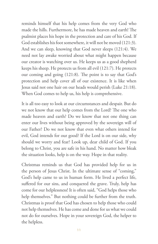reminds himself that his help comes from the very God who made the hills. Furthermore, he has made heaven and earth! The psalmist places his hope in the protection and care of his God. If God establishes his foot somewhere, it will not be moved (121:3). And we can sleep, knowing that God never sleeps (121:4). We need not lay awake worried about what might happen because our creator is watching over us. He keeps us as a good shepherd keeps his sheep. He protects us from all evil (121:7). He protects our coming and going (121:8). The point is to say that God's protection and help cover all of our existence. It is like when Jesus said not one hair on our heads would perish (Luke 21:18). When God comes to help us, his help is comprehensive.

It is all too easy to look at our circumstances and despair. But do we not know that our help comes from the Lord? The one who made heaven and earth? Do we know that not one thing can enter our lives without being approved by the sovereign will of our Father? Do we not know that even what others intend for evil, God intends for our good? If the Lord is on our side, why should we worry and fear? Look up, dear child of God. If you belong to Christ, you are safe in his hand. No matter how bleak the situation looks, help is on the way. Hope in that reality.

Christmas reminds us that God has provided help for us in the person of Jesus Christ. In the ultimate sense of "coming," God's help came to us in human form. He lived a perfect life, suffered for our sins, and conquered the grave. Truly, help has come for our helplessness! It is often said, "God helps those who help themselves." But nothing could be further from the truth. Christmas is proof that God has chosen to help those who could not help themselves. He has come and done for us what we could not do for ourselves. Hope in your sovereign God, the helper to the helpless.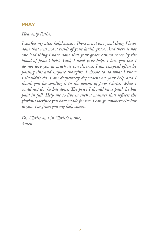### **PRAY**

#### *Heavenly Father,*

*I confess my utter helplessness. There is not one good thing I have done that was not a result of your lavish grace. And there is not one bad thing I have done that your grace cannot cover by the blood of Jesus Christ. God, I need your help. I love you but I do not love you as much as you deserve. I am tempted often by passing sins and impure thoughts. I choose to do what I know I shouldn't do. I am desperately dependent on your help and I thank you for sending it in the person of Jesus Christ. What I could not do, he has done. The price I should have paid, he has paid in full. Help me to live in such a manner that reflects the glorious sacrifice you have made for me. I can go nowhere else but to you. For from you my help comes.*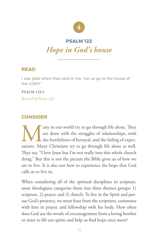

#### **PSALM 122**

### *Hope in God's house*

### **READ**

I was glad when they said to me, "Let us go to the house of the LORD!"

**PSALM 122:1** *Read all of Psalm 122*

### **CONSIDER**

Many in our world try to go through life alone. They are done with the struggles of relationships, with the hurtfulness of betrayal, and the failing of expectations. Many Christians try to go through life alone as well. are done with the struggles of relationships, with the hurtfulness of betrayal, and the failing of expectations. Many Christians try to go through life alone as well. They say, "I love Jesus but I'm not really into this whole church thing." But this is not the picture the Bible gives us of how we are to live. It is also not how to experience the hope that God calls us to live in.

When considering all of the spiritual disciplines in scripture, most theologians categorize them into three distinct groups: 1) scripture, 2) prayer, and 3) church. To live in the Spirit and pursue God's presence, we must feast from the scriptures, commune with him in prayer, and fellowship with his body. How often does God use the words of encouragement from a loving brother or sister to lift our spirits and help us find hope once more?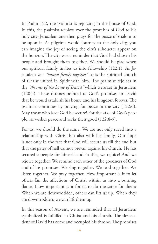In Psalm 122, the psalmist is rejoicing in the house of God. In this, the psalmist rejoices over the promises of God to his holy city, Jerusalem and then prays for the peace of shalom to be upon it. As pilgrims would journey to the holy city, you can imagine the joy of seeing the city's silhouette appear on the horizon. The city was a reminder that God had chosen his people and brought them together. We should be glad when our spiritual family invites us into fellowship (122:1). As Jerusalem was *"bound firmly together"* so is the spiritual church of Christ united in Spirit with him. The psalmist rejoices in the *"thrones of the house of David"* which were set in Jerusalem (120:5). These thrones pointed to God's promises to David that he would establish his house and his kingdom forever. The psalmist continues by praying for peace in the city (122:6). May those who love God be secure! For the sake of God's people, he wishes peace and seeks their good (122:8-9).

For us, we should do the same. We are not only saved into a relationship with Christ but also with his family. Our hope is not only in the fact that God will secure us till the end but that the gates of hell cannot prevail against his church. He has secured a people for himself and in this, we rejoice! And we rejoice together. We remind each other of the goodness of God and of his promises. We sing together. We read together. We listen together. We pray together. How important is it to let others fan the affections of Christ within us into a burning flame? How important is it for us to do the same for them? When we are downtrodden, others can lift us up. When they are downtrodden, we can lift them up.

In this season of Advent, we are reminded that all Jerusalem symbolized is fulfilled in Christ and his church. The descendent of David has come and occupied his throne. The promises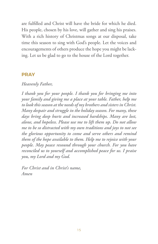are fulfilled and Christ will have the bride for which he died. His people, chosen by his love, will gather and sing his praises. With a rich history of Christmas songs at our disposal, take time this season to sing with God's people. Let the voices and encouragements of others produce the hope you might be lacking. Let us be glad to go to the house of the Lord together.

### **PRAY**

### *Heavenly Father,*

*I thank you for your people. I thank you for bringing me into your family and giving me a place at your table. Father, help me to look this season at the needs of my brothers and sisters in Christ. Many despair and struggle in the holiday season. For many, these days bring deep hurts and increased hardships. Many are lost, alone, and hopeless. Please use me to lift them up. Do not allow me to be so distracted with my own traditions and joys to not see the glorious opportunity to come and serve others and remind them of the hope available to them. Help me to rejoice with your people. May peace resound through your church. For you have reconciled us to yourself and accomplished peace for us. I praise you, my Lord and my God.*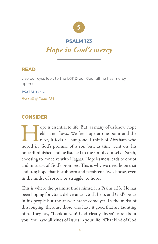

### **PSALM 123**

### *Hope in God's mercy*

### **READ**

… so our eyes look to the LORD our God, till he has mercy upon us.

**PSALM 123:2** *Read all of Psalm 123*

### **CONSIDER**

The ope is essential to life. But, as many of us know, hope<br>ebbs and flows. We feel hope at one point and the<br>next, it feels all but gone. I think of Abraham who<br>hoped in God's promise of a son but, as time went on, his ebbs and flows. We feel hope at one point and the next, it feels all but gone. I think of Abraham who hoped in God's promise of a son but, as time went on, his hope diminished and he listened to the sinful counsel of Sarah, choosing to conceive with Hagaar. Hopelessness leads to doubt and mistrust of God's promises. This is why we need hope that endures; hope that is stubborn and persistent. We choose, even in the midst of sorrow or struggle, to hope.

This is where the psalmist finds himself in Psalm 123. He has been hoping for God's deliverance, God's help, and God's peace in his people but the answer hasn't come yet. In the midst of this longing, there are those who have it good that are taunting him. They say, "Look at you! God clearly doesn't care about you. You have all kinds of issues in your life. What kind of God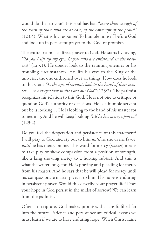would do that to you?" His soul has had "*more than enough of the scorn of those who are at ease, of the contempt of the proud"* (123:4). What is his response? To humble himself before God and look up in persistent prayer to the God of promises.

The entire psalm is a direct prayer to God. He starts by saying, *"To you I lift up my eyes, O you who are enthroned in the heavens!"* (123:1). He doesn't look to the taunting enemies or his troubling circumstances. He lifts his eyes to the King of the universe, the one enthroned over all things. How does he look to this God? *"As the eyes of servants look to the hand of their master … so our eyes look to the Lord our God"* (123:2). The psalmist recognizes his relation to this God. He is not one to critique or question God's authority or decisions. He is a humble servant but he is looking… He is looking to the hand of his master for something. And he will keep looking *"till he has mercy upon us"* (123:2).

Do you feel the desperation and persistence of this statement? I will pray to God and cry out to him *until* he shows me favor; *until* he has mercy on me. This word for mercy (*hanan*) means to take pity or show compassion from a position of strength, like a king showing mercy to a hurting subject. And this is what the writer longs for. He is praying and pleading for mercy from his master. And he says that he will plead for mercy until his compassionate master gives it to him. His hope is enduring in persistent prayer. Would this describe your prayer life? Does your hope in God persist in the midst of sorrow? We can learn from the psalmist.

Often in scripture, God makes promises that are fulfilled far into the future. Patience and persistence are critical lessons we must learn if we are to have enduring hope. When Christ came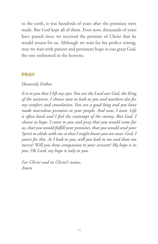to the earth, it was hundreds of years after the promises were made. But God kept all of them. Even now, thousands of years have passed since we received the promise of Christ that he would return for us. Although we wait for his perfect timing, may we wait with patient and persistent hope in our great God, the one enthroned in the heavens.

### **PRAY**

### *Heavenly Father,*

*It is to you that I lift my eyes. You are the Lord our God, the King of the universe. I choose now to look to you and nowhere else for my comfort and consolation. You are a good king and you have made marvelous promises to your people. And now, I wait. Life is often hard and I feel the contempt of the enemy. But God, I choose to hope. I come to you and pray that you would come for us, that you would fulfill your promises, that you would send your Spirit to abide with me so that I might know you are near. God, I yearn for this. As I look to you, will you look to me and show me mercy? Will you show compassion to your servant? My hope is in you. Oh Lord, my hope is only in you.*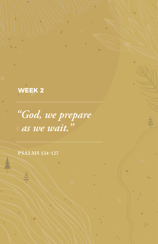**WEEK 2**

*"God, we prepare as we wait."*

**PSALMS 124-127**

 $#$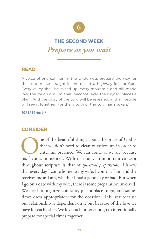

### **THE SECOND WEEK**

### *Prepare as you wait*

### **READ**

A voice of one calling: "In the wilderness prepare the way for the Lord; make straight in the desert a highway for our God. Every valley shall be raised up, every mountain and hill made low; the rough ground shall become level, the rugged places a plain. And the glory of the Lord will be revealed, and all people will see it together. For the mouth of the Lord has spoken."

#### **ISAIAH 40:3-5**

### **CONSIDER**

**ORES ALTER IN THE CONE IS CONTROLLED THE CONORMAN CONTROLLED SURFERENT AT A SURFERENT AND SURFERENT AND SURFERENT AND SURFERENT AND SURFERENT AND SURFERENT AND SURFERENT AND SURFERENT AND SURFERENT AND SURFERENT AND SURFE** that we don't need to clean ourselves up in order to enter his presence. We can come as we are because throughout scripture is that of *spiritual preparation*. I know that every day I come home to my wife, I come as I am and she receives me as I am, whether I had a good day or bad. But when I go on a date with my wife, there is some preparation involved. We need to organize childcare, pick a place to go, and sometimes dress appropriately for the occasion. This isn't because our relationship is dependent on it but because of the love we have for each other. We love each other enough to intentionally prepare for special times together.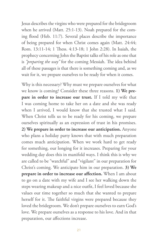Jesus describes the virgins who were prepared for the bridegroom when he arrived (Matt. 25:1-13). Noah prepared for the coming flood (Heb. 11:7). Several places describe the importance of being prepared for when Christ comes again (Matt. 24:44; Rom. 13:11-14; 1 Thess. 4:13-18; 1 John 2:28). In Isaiah, the prophecy concerning John the Baptist talks of his role as one that is *"preparing the way"* for the coming Messiah. The idea behind all of these passages is that there is something coming and, as we wait for it, we prepare ourselves to be ready for when it comes.

Why is this necessary? Why must we prepare ourselves for what we know is coming? Consider these three reasons. **1) We prepare in order to increase our trust.** If I told my wife that I was coming home to take her on a date and she was ready when I arrived, I would know that she trusted what I said. When Christ tells us to be ready for his coming, we prepare ourselves spiritually as an expression of trust in his promises. **2) We prepare in order to increase our anticipation.** Anyone who plans a holiday party knows that with much preparation comes much anticipation. When we work hard to get ready for something, our longing for it increases. Preparing for your wedding day does this in manifold ways. I think this is why we are called to be "watchful" and "vigilant" in our preparation for Christ's coming. We anticipate him in our preparation. **3) We prepare in order to increase our affection.** When I am about to go on a date with my wife and I see her walking down the steps wearing makeup and a nice outfit, I feel loved because she values our time together so much that she wanted to prepare herself for it. The faithful virgins were prepared because they loved the bridegroom. We don't prepare ourselves to earn God's love. We prepare ourselves as a response to his love. And in that preparation, our affections increase.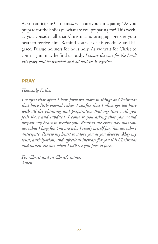As you anticipate Christmas, what are you anticipating? As you prepare for the holidays, what are you preparing for? This week, as you consider all that Christmas is bringing, prepare your heart to receive him. Remind yourself of his goodness and his grace. Pursue holiness for he is holy. As we wait for Christ to come again, may he find us ready. *Prepare the way for the Lord! His glory will be revealed and all will see it together*.

### **PRAY**

### *Heavenly Father,*

*I confess that often I look forward more to things at Christmas that have little eternal value. I confess that I often get too busy with all the planning and preparation that my time with you feels short and subdued. I come to you asking that you would prepare my heart to receive you. Remind me every day that you are what I long for. You are who I ready myself for. You are who I anticipate. Renew my heart to adore you as you deserve. May my trust, anticipation, and affections increase for you this Christmas and hasten the day when I will see you face to face.*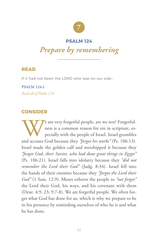

#### **PSALM 124**

### *Prepare by remembering*

### **READ**

If it had not been the LORD who was on our side...

**PSALM 124:1** *Read all of Psalm 124*

### **CONSIDER**

We are very forgetful people, are we not? Forgetful-<br>ness is a common reason for sin in scripture, es-<br>pecially with the people of Israel. Israel grumbles<br>and accuses God because they "forgot his works" (Ps. 106:13). ness is a common reason for sin in scripture, especially with the people of Israel. Israel grumbles and accuses God because they *"forgot his works"* (Ps. 106:13). Israel made the golden calf and worshipped it because they *"forgot God, their Savior, who had done great things in Egypt"* (Ps. 106:21). Israel falls into idolatry because they *"did not remember the Lord their God"* (Judg. 8:34). Israel fell into the hands of their enemies because they *"forgot the Lord their God"* (1 Sam. 12:9). Moses exhorts the people to *"not forget"* the Lord their God, his ways, and his covenant with them (Deut. 4:9, 23; 9:7-8). We are forgetful people. We often forget what God has done for us, which is why we prepare to be in his presence by reminding ourselves of who he is and what he has done.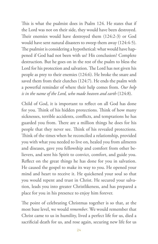This is what the psalmist does in Psalm 124. He states that if the Lord was not on their side, they would have been destroyed. Their enemies would have destroyed them (124:2-3) or God would have sent natural disasters to sweep them away (124:4-5). The psalmist is considering a hypothetical: what would have happened if God had not been with us? His conclusion? Complete destruction. But he goes on in the rest of the psalm to bless the Lord for his protection and salvation. The Lord has not given his people as prey to their enemies (124:6). He broke the snare and saved them from their clutches (124:7). He ends the psalm with a powerful reminder of where their help comes from. *Our help is in the name of the Lord, who made heaven and earth* (124:8).

Child of God, it is important to reflect on all God has done for you. Think of his hidden protections. Think of how many sicknesses, terrible accidents, conflicts, and temptations he has guarded you from. There are a million things he does for his people that they never see. Think of his revealed protections. Think of the times when he reconciled a relationship, provided you with what you needed to live on, healed you from ailments and diseases, gave you fellowship and comfort from other believers, and sent his Spirit to convict, comfort, and guide you. Reflect on the great things he has done for you in salvation. He caused the gospel to make its way to you. He opened your mind and heart to receive it. He quickened your soul so that you would repent and trust in Christ. He secured your salvation, leads you into greater Christlikeness, and has prepared a place for you in his presence to enjoy him forever.

The point of celebrating Christmas together is so that, at the most base level, we would *remember*. We would remember that Christ came to us in humility, lived a perfect life for us, died a sacrificial death for us, and rose again, securing new life for us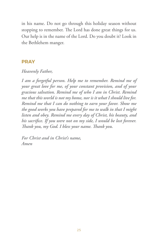in his name. Do not go through this holiday season without stopping to remember. The Lord has done great things for us. Our help is in the name of the Lord. Do you doubt it? Look in the Bethlehem manger.

### **PRAY**

### *Heavenly Father,*

*I am a forgetful person. Help me to remember. Remind me of your great love for me, of your constant provision, and of your gracious salvation. Remind me of who I am in Christ. Remind me that this world is not my home, nor is it what I should live for. Remind me that I can do nothing to earn your favor. Show me the good works you have prepared for me to walk in that I might listen and obey. Remind me every day of Christ, his beauty, and his sacrifice. If you were not on my side, I would be lost forever. Thank you, my God. I bless your name. Thank you.*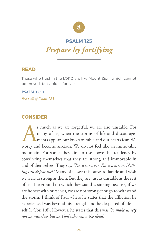

#### **PSALM 125**

*Prepare by fortifying*

### **READ**

Those who trust in the LORD are like Mount Zion, which cannot be moved, but abides forever.

**PSALM 125:1** *Read all of Psalm 125*

### **CONSIDER**

s much as we are forgetful, we are also unstable. For many of us, when the storms of life and discouragements appear, our knees tremble and our hearts fear. We worry and become anxious. We do not feel like an immovable mountain. For some, they aim to rise above this tendency by convincing themselves that they are strong and immovable in and of themselves. They say, *"I'm a survivor. I'm a warrior. Nothing can defeat me!"* Many of us see this outward facade and wish we were as strong as them. But they are just as unstable as the rest of us. The ground on which they stand is sinking because, if we are honest with ourselves, we are not strong enough to withstand the storm. I think of Paul where he states that the affliction he experienced was beyond his strength and he despaired of life itself (1 Cor. 1:8). However, he states that this was *"to make us rely not on ourselves but on God who raises the dead."*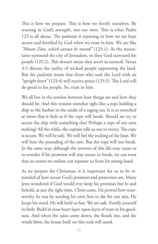This is how we prepare. This is how we fortify ourselves. By trusting in God's strength, not our own. This is what Psalm 125 is all about. The psalmist is rejoicing in how we are kept secure and fortified by God when we trust in him. We are like *"Mount Zion, which cannot be moved"* (125:1). As the mountains surround the city of Jerusalem, so does God surround his people (125:2). This doesn't mean they aren't in turmoil. Verses 3-5 discuss the reality of wicked people oppressing the land. But the psalmist trusts that those who seek the Lord with an *"upright heart"* (125:4) will receive peace (125:5). The Lord will do good to his people. So, trust in him.

We all live in the tension between how things are and how they should be. And this tension stretches tight like a rope holding a ship to the harbor in the midst of a raging sea. It is so stretched at times that it feels as if the rope will break. Should we try to secure the ship with something else? Perhaps a rope of our own making? All the while, the captain tells us not to worry. The rope is secure. We will be safe. We will feel the rocking of the boat. We will hear the pounding of the rain. But the rope will not break. In the same way, although the sorrows of this life may cause us to wonder if his promises will stay secure or break, we can trust that no storm we endure can separate us from his strong hand.

As we prepare for Christmas, it is important for us to be reminded of how secure God's promises and protection are. Many Jews wondered if God would ever keep his promises but lo and behold, at just the right time, Christ came. He proved how trustworthy he was by sending his own Son to die for our sins. He keeps his word. He will hold us fast. We are safe. Fortify yourself in faith. Build in your heart layer upon layer of trust in his goodness. And when the rains come down, the floods rise, and the winds blow, the house built on this rock will stand.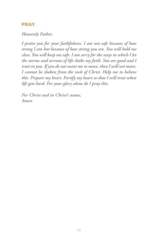### **PRAY**

### *Heavenly Father,*

*I praise you for your faithfulness. I am not safe because of how strong I am but because of how strong you are. You will hold me close. You will keep me safe. I am sorry for the ways in which I let the storms and sorrows of life shake my faith. You are good and I trust in you. If you do not want me to move, then I will not move. I cannot be shaken from the rock of Christ. Help me to believe this. Prepare my heart. Fortify my heart so that I will trust when life gets hard. For your glory alone do I pray this.*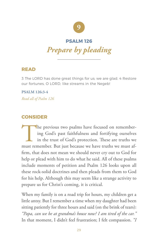

#### **PSALM 126**

*Prepare by pleading*

### **READ**

3 The LORD has done great things for us; we are glad. 4 Restore our fortunes, O LORD, like streams in the Negeb!

**PSALM 126:3-4** *Read all of Psalm 126*

### **CONSIDER**

The previous two psalms have focused on remember-<br>ing God's past faithfulness and fortifying ourselves<br>in the trust of God's protection. These are truths we<br>must remember. But just because we have truths we must afing God's past faithfulness and fortifying ourselves in the trust of God's protection. These are truths we firm, that does not mean we should never cry out to God for help or plead with him to do what he said. All of these psalms include moments of petition and Psalm 126 looks upon all these rock-solid doctrines and then pleads from them to God for his help. Although this may seem like a strange activity to prepare us for Christ's coming, it is critical.

When my family is on a road trip for hours, my children get a little antsy. But I remember a time when my daughter had been sitting patiently for three hours and said (on the brink of tears): *"Papa, can we be at grandma's house now? I am tired of the car."* In that moment, I didn't feel frustration; I felt compassion. *"I*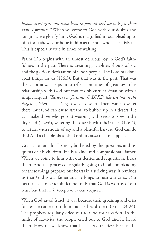*know, sweet girl. You have been so patient and we will get there soon. I promise."* When we come to God with our desires and longings, we glorify him. God is magnified in our pleading to him for it shows our hope in him as the one who can satisfy us. This is especially true in times of waiting.

Psalm 126 begins with an almost delirious joy in God's faithfulness in the past. There is dreaming, laughter, shouts of joy, and the glorious declaration of God's people: The Lord has done great things for us (126:3). But that was in the past. That was then, not now. The psalmist reflects on times of great joy in his relationship with God but mourns his current situation with a simple request: *"Restore our fortunes, O LORD, like streams in the Negeb"* (126:4). The Negeb was a dessert. There was no water there. But God can cause streams to bubble up in a desert. He can make those who go out weeping with seeds to sow in the dry sand (126:6), watering those seeds with their tears (126:5), to return with shouts of joy and a plentiful harvest. God can do this! And so he pleads to the Lord to cause this to happen.

God is not an aloof parent, bothered by the questions and requests of his children. He is a kind and compassionate father. When we come to him with our desires and requests, he hears them. And the process of regularly going to God and pleading for these things prepares our hearts in a striking way. It reminds us that God is our father and he longs to hear our cries. Our heart needs to be reminded not only that God is worthy of our trust but that he is receptive to our requests.

When God saved Israel, it was because their groaning and cries for rescue came up to him and he heard them (Ex. 1:23-24). The prophets regularly cried out to God for salvation. In the midst of captivity, the people cried out to God and he heard them. How do we know that he hears our cries? Because he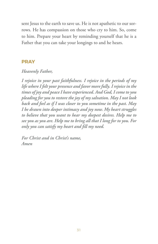sent Jesus to the earth to save us. He is not apathetic to our sorrows. He has compassion on those who cry to him. So, come to him. Prepare your heart by reminding yourself that he is a Father that you can take your longings to and he hears.

### **PRAY**

### *Heavenly Father,*

*I rejoice in your past faithfulness. I rejoice in the periods of my life where I felt your presence and favor more fully. I rejoice in the times of joy and peace I have experienced. And God, I come to you pleading for you to restore the joy of my salvation. May I not look back and feel as if I was closer to you sometime in the past. May I be drawn into deeper intimacy and joy now. My heart struggles to believe that you want to hear my deepest desires. Help me to see you as you are. Help me to bring all that I long for to you. For only you can satisfy my heart and fill my need.*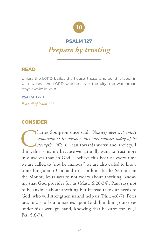

### **PSALM 127**

### *Prepare by trusting*

### **READ**

Unless the LORD builds the house, those who build it labor in vain. Unless the LORD watches over the city, the watchman stays awake in vain.

**PSALM 127:1** *Read all of Psalm 127*

### **CONSIDER**

Tharles Spurgeon once said, *"Anxiety does not empty tomorrow of its sorrows, but only empties today of its strength."* We all lean towards worry and anxiety. I think this is mainly because we naturally want to trust more *tomorrow of its sorrows, but only empties today of its strength."* We all lean towards worry and anxiety. I in ourselves than in God. I believe this because every time we are called to "not be anxious," we are also called to know something about God and trust in him. In the Sermon on the Mount, Jesus says to not worry about anything, knowing that God provides for us (Matt. 6:26-34). Paul says not to be anxious about anything but instead take our needs to God, who will strengthen us and help us (Phil. 4:6-7). Peter says to cast all our anxieties upon God, humbling ourselves under his sovereign hand, knowing that he cares for us (1 Pet. 5:6-7).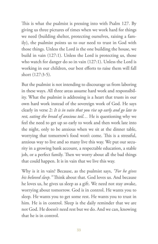This is what the psalmist is pressing into with Psalm 127. By giving us three pictures of times when we work hard for things we need (building shelter, protecting ourselves, raising a family), the psalmist points us to our need to trust in God with those things. Unless the Lord is the one building the house, we build in vain (127:1). Unless the Lord is protecting us, those who watch for danger do so in vain (127:1). Unless the Lord is working in our children, our best efforts to raise them will fall short (127:3-5).

But the psalmist is not intending to discourage us from laboring in these ways. All three areas assume hard work and responsibility. What the psalmist is addressing is a heart that trusts in our own hard work instead of the sovereign work of God. He says clearly in verse 2: *It is in vain that you rise up early and go late to rest, eating the bread of anxious toil…* He is questioning why we feel the need to get up so early to work and then work late into the night, only to be anxious when we sit at the dinner table, worrying that tomorrow's food won't come. This is a stressful, anxious way to live and so many live this way. We put our security in a growing bank account, a respectable education, a stable job, or a perfect family. Then we worry about all the bad things that could happen. It is in vain that we live this way.

Why is it in vain? Because, as the psalmist says, *"For he gives his beloved sleep."* Think about that. God loves us. And because he loves us, he gives us sleep as a gift. We need not stay awake, worrying about tomorrow. God is in control. He wants you to sleep. He wants you to get some rest. He wants you to trust in him. He is in control. Sleep is the daily reminder that we are not God. He doesn't need rest but we do. And we can, knowing that he is in control.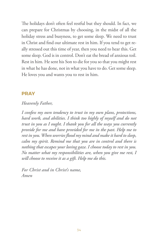The holidays don't often feel restful but they should. In fact, we can prepare for Christmas by choosing, in the midst of all the holiday stress and busyness, to get some sleep. We need to trust in Christ and find our ultimate rest in him. If you tend to get really stressed out this time of year, then you need to hear this. Get some sleep. God is in control. Don't eat the bread of anxious toil. Rest in him. He sent his Son to die for you so that you might rest in what he has done, not in what you have to do. Get some sleep. He loves you and wants you to rest in him.

### **PRAY**

### *Heavenly Father,*

*I confess my own tendency to trust in my own plans, protections, hard work, and abilities. I think too highly of myself and do not trust in you as I ought. I thank you for all the ways you currently provide for me and have provided for me in the past. Help me to rest in you. When worries flood my mind and make it hard to sleep, calm my spirit. Remind me that you are in control and there is nothing that escapes your loving gaze. I choose today to rest in you. No matter what my responsibilities are, when you give me rest, I will choose to receive it as a gift. Help me do this.*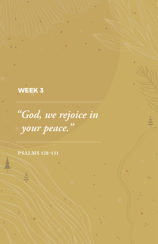**WEEK 3**

*"God, we rejoice in your peace."*

**PSALMS 128-131**

 $#$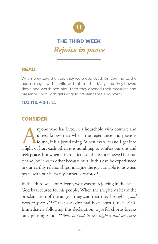

### **THE THIRD WEEK** *Rejoice in peace*

### **READ**

When they saw the star, they were overjoyed. On coming to the house, they saw the child with his mother Mary, and they bowed down and worshiped him. Then they opened their treasures and presented him with gifts of gold, frankincense and myrrh.

#### **MATTHEW 2:10-11**

### **CONSIDER**

Anyone who has lived in a household with conflict and unrest knows that when true repentance and peace is found, it is a joyful thing. When my wife and I get into a fight or hurt each other, it is humbling to confess our s unrest knows that when true repentance and peace is found, it is a joyful thing. When my wife and I get into a fight or hurt each other, it is humbling to confess our sins and seek peace. But when it is experienced, there is a renewed intimacy and joy in each other because of it. If this can be experienced in our earthly relationships, imagine the joy available to us when peace with our heavenly Father is restored?

In this third week of Advent, we focus on rejoicing in the peace God has secured for his people. When the shepherds heard the proclamation of the angels, they said that they brought "*good news of great JOY"* that a Savior had been born (Luke 2:10). Immediately following this declaration, a joyful chorus breaks out, praising God: *"Glory to God in the highest and on earth*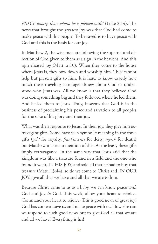*PEACE among those whom he is pleased with"* (Luke 2:14). The news that brought the greatest joy was that God had come to make peace with his people. To be saved is to have peace with God and this is the basis for our joy.

In Matthew 2, the wise men are following the supernatural direction of God given to them as a sign in the heavens. And this sign elicited joy (Matt. 2:10). When they come to the house where Jesus is, they bow down and worship him. They cannot help but present gifts to him. It is hard to know exactly how much these traveling astrologers knew about God or understood who Jesus was. All we know is that they believed God was doing something big and they followed where he led them. And he led them to Jesus. Truly, it seems that God is in the business of proclaiming his peace and salvation to all peoples for the sake of his glory and their joy.

What was their response to Jesus? In their joy, they give him extravagant gifts. Some have seen symbolic meaning in the three gifts (*gold* for royalty, *frankincense* for deity, *myrrh* for death) but Matthew makes no mention of this. At the least, these gifts imply extravagance. In the same way that Jesus said that the kingdom was like a treasure found in a field and the one who found it went, IN HIS JOY, and sold all that he had to buy that treasure (Matt. 13:44), so do we come to Christ and, IN OUR JOY, give all that we have and all that we are to him.

Because Christ came to us as a baby, we can know peace *with* God and joy *in* God. This week, allow your heart to rejoice. Command your heart to rejoice. This is good news of great joy! God has come to save us and make peace with us. How else can we respond to such good news but to give God all that we are and all we have? Everything is his!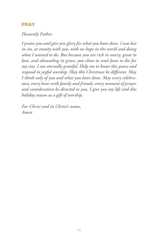### **PRAY**

### *Heavenly Father,*

*I praise you and give you glory for what you have done. I was lost in sin, at enmity with you, with no hope in the world and doing what I wanted to do. But because you are rich in mercy, great in love, and abounding in grace, you chose to send Jesus to die for my sins. I am eternally grateful. Help me to know this peace and respond in joyful worship. May this Christmas be different. May I think only of you and what you have done. May every celebration, every hour with family and friends, every moment of prayer and consideration be directed to you. I give you my life and this holiday season as a gift of worship.*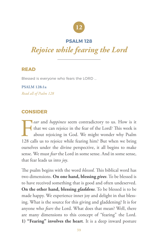

### **PSALM 128**

### *Rejoice while fearing the Lord*

### **READ**

Blessed is everyone who fears the LORD ...

**PSALM 128:1a** *Read all of Psalm 128*

### **CONSIDER**

*ear* and *happiness* seem contradictory to us. How is it that we can rejoice in the fear of the Lord? This week is about rejoicing in God. We might wonder why Psalm 128 calls us to rejoice while fearing him? But when we b that we can rejoice in the fear of the Lord? This week is about rejoicing in God. We might wonder why Psalm 128 calls us to rejoice while fearing him? But when we bring ourselves under the divine perspective, it all begins to make sense. We must *fear* the Lord in some sense. And in some sense, that fear leads us into *joy*.

The psalm begins with the word *blessed*. This biblical word has two dimensions. **On one hand, blessing** *gives*. To be blessed is to have received something that is good and often undeserved. **On the other hand, blessing** *gladdens*. To be blessed is to be made happy. We experience inner joy and delight in that blessing. What is the source for this giving and gladdening? It is for anyone who *fears* the Lord. What does that mean? Well, there are many dimensions to this concept of "fearing" the Lord. **1) "Fearing" involves the heart**. It is a deep inward posture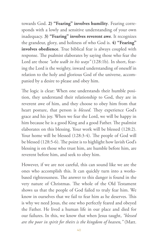towards God. **2) "Fearing" involves humility**. Fearing corresponds with a lowly and sensitive understanding of your own inadequacy. **3) "Fearing" involves reverent awe**. It recognizes the grandeur, glory, and holiness of who God is. **4) "Fearing" involves obedience**. True biblical fear is always coupled with response. The psalmist elaborates by saying those who fear the Lord are those *"who walk in his ways"* (128:1b). In short, fearing the Lord is the weighty, inward understanding of oneself in relation to the holy and glorious God of the universe, accompanied by a desire to please and obey him.

The logic is clear: When one understands their humble position, they understand their relationship to God, they are in reverent awe of him, and they choose to obey him from that heart posture, that person is *blessed*. They experience God's grace and his joy. When we fear the Lord, we will be happy in him because he is a good King and a good Father. The psalmist elaborates on this blessing. Your work will be blessed (128:2). Your home will be blessed (128:3-4). The people of God will be blessed (128:5-6). The point is to highlight how lavish God's blessing is on those who trust him, are humble before him, are reverent before him, and seek to obey him.

However, if we are not careful, this can sound like we are the ones who accomplish this. It can quickly turn into a worksbased righteousness. The answer to this danger is found in the very nature of Christmas. The whole of the Old Testament shows us that the people of God failed to truly fear him. We know in ourselves that we fail to fear him as he deserves. This is why we need Jesus, the one who perfectly feared and obeyed the Father. He lived a human life in our place and died for our failures. In this, we know that when Jesus taught, *"blessed are the poor in spirit for theirs is the kingdom of heaven,"* (Matt.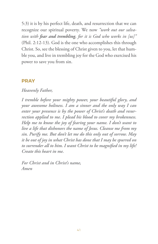5:3) it is by his perfect life, death, and resurrection that we can recognize our spiritual poverty. We now *"work out our salvation with fear and trembling, for it is God who works in [us]"*  (Phil. 2:12-13). God is the one who accomplishes this through Christ. So, see the blessing of Christ given to you, let that humble you, and live in trembling joy for the God who exercised his power to save you from sin.

### **PRAY**

### *Heavenly Father,*

*I tremble before your mighty power, your beautiful glory, and your awesome holiness. I am a sinner and the only way I can enter your presence is by the power of Christ's death and resurrection applied to me. I plead his blood to cover my brokenness. Help me to know the joy of fearing your name. I don't want to live a life that dishonors the name of Jesus. Cleanse me from my sin. Purify me. But don't let me do this only out of sorrow. May it be out of joy in what Christ has done that I may be spurred on to surrender all to him. I want Christ to be magnified in my life! Create this heart in me.*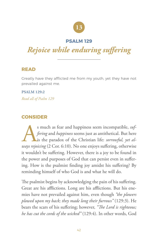

### **PSALM 129**

### *Rejoice while enduring suffering*

### **READ**

Greatly have they afflicted me from my youth, yet they have not prevailed against me.

**PSALM 129:2** *Read all of Psalm 129*

### **CONSIDER**

s much as fear and happiness seem incompatible, *suf-*<br>*fering* and *happiness* seems just as antithetical. But here<br>is the paradox of the Christian life: *sorrowful, yet al-*<br>*ways rejoicing* (2 Cor. 6:10). No one enjoys *fering* and *happiness* seems just as antithetical. But here is the paradox of the Christian life: *sorrowful, yet always rejoicing* (2 Cor. 6:10). No one enjoys suffering, otherwise it wouldn't be suffering. However, there is a joy to be found in the power and purposes of God that can persist even in suffering. How is the psalmist finding joy amidst his suffering? By reminding himself of who God is and what he will do.

The psalmist begins by acknowledging the pain of his suffering. Great are his afflictions. Long are his afflictions. But his enemies have not prevailed against him, even though *"the plowers plowed upon my back; they made long their furrows"* (129:3). He bears the scars of his suffering; however, *"The Lord is righteous; he has cut the cords of the wicked"* (129:4). In other words, God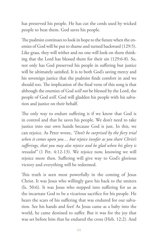has preserved his people. He has cut the cords used by wicked people to beat them. God saves his people.

The psalmist continues to look in hope to the future when the enemies of God will be put to shame and turned backward (129:5). Like grass, they will wither and no one will look on them thinking that the Lord has blessed them for their sin (129:6-8). So, not only has God preserved his people in suffering but justice will be ultimately satisfied. It is to both God's saving mercy and his sovereign justice that the psalmist finds comfort in and we should too. The implication of the final verse of this song is that although the enemies of God *will not* be blessed by the Lord, the people of God *will*. God will gladden his people with his salvation and justice on their behalf.

The only way to endure suffering is if we know that God is in control and that he saves his people. We don't need to take justice into our own hands because God is just. In this, we can rejoice. As Peter wrote, *"Don't be surprised by the fiery trial when it comes upon you… but rejoice insofar as you share Christ's sufferings, that you may also rejoice and be glad when his glory is revealed"* (1 Pet. 4:12-13). We rejoice now, knowing we will rejoice more then. Suffering will give way to God's glorious victory and everything will be redeemed.

This truth is seen most powerfully in the coming of Jesus Christ. It was Jesus who willingly gave his back to the smiters (Is. 50:6). It was Jesus who stepped into suffering for us as the incarnate God to be a vicarious sacrifice for his people. He bears the scars of his suffering that was endured for our salvation. See his hands and feet! As Jesus came as a baby into the world, he came destined to suffer. But it was for the joy that was set before him that he endured the cross (Heb. 12:2). And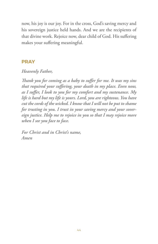now, his joy is our joy. For in the cross, God's saving mercy and his sovereign justice held hands. And we are the recipients of that divine work. Rejoice now, dear child of God. His suffering makes your suffering meaningful.

### **PRAY**

### *Heavenly Father,*

*Thank you for coming as a baby to suffer for me. It was my sins that required your suffering, your death in my place. Even now, as I suffer, I look to you for my comfort and my sustenance. My life is hard but my life is yours. Lord, you are righteous. You have cut the cords of the wicked. I know that I will not be put to shame for trusting in you. I trust in your saving mercy and your sovereign justice. Help me to rejoice in you so that I may rejoice more when I see you face to face.*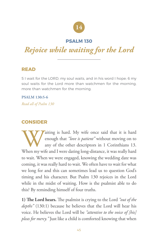

### **PSALM 130**

### *Rejoice while waiting for the Lord*

### **READ**

5 I wait for the LORD, my soul waits, and in his word I hope; 6 my soul waits for the Lord more than watchmen for the morning, more than watchmen for the morning.

### **PSALM 130:5-6**

*Read all of Psalm 130*

### **CONSIDER**

**Waiting is hard.** My wife once said that it is hard<br>enough that *"love is patient"* without moving on to<br>any of the other descriptors in 1 Corinthians 13.<br>When my wife and I were dating long-distance, it was really hard enough that *"love is patient"* without moving on to any of the other descriptors in 1 Corinthians 13. When my wife and I were dating long-distance, it was really hard to wait. When we were engaged, knowing the wedding date was coming, it was really hard to wait. We often have to wait for what we long for and this can sometimes lead us to question God's timing and his character. But Psalm 130 rejoices in the Lord while in the midst of waiting. How is the psalmist able to do this? By reminding himself of four truths.

**1) The Lord hears.** The psalmist is crying to the Lord *"out of the depths"* (130:1) because he believes that the Lord will hear his voice. He believes the Lord will be *"attentive to the voice of [his] pleas for mercy."* Just like a child is comforted knowing that when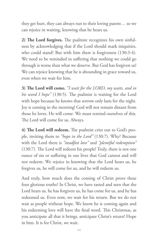they get hurt, they can always run to their loving parent… so we can rejoice in waiting, knowing that he hears us.

**2) The Lord forgives.** The psalmist recognizes his own sinfulness by acknowledging that if the Lord should mark iniquities, who could stand? But with him there is forgiveness (130:3-4). We need to be reminded in suffering that nothing we could go through is worse than what we deserve. But God has forgiven us! We can rejoice knowing that he is abounding in grace toward us, even when we wait for him.

**3) The Lord will come.** *"I wait for the LORD, my waits, and in his word I hope"* (130:5). The psalmist is waiting for the Lord with hope because he knows that sorrow only lasts for the night. Joy is coming in the morning! God will not remain distant from those he loves. He will come. We must remind ourselves of this. The Lord will come for us. Always.

**4) The Lord will redeem.** The psalmist cries out to God's people, inviting them to *"hope in the Lord"* (130:7). Why? Because with the Lord there is *"steadfast love"* and *"plentiful redemption"*  (130:7). The Lord will redeem his people! Truly, there is not one ounce of sin or suffering in our lives that God cannot and will not redeem. We rejoice in knowing that the Lord hears us, he forgives us, he will come for us, and he will redeem us.

And truly, how much does the coming of Christ prove these four glorious truths? In Christ, we have tasted and seen that the Lord hears us, he has forgiven us, he has come for us, and he has redeemed us. Even now, we wait for his return. But we do not wait as people without hope. We know he is coming again and his redeeming love will have the final word. This Christmas, as you anticipate all that it brings, anticipate Christ's return! Hope in him. It is for Christ, we wait.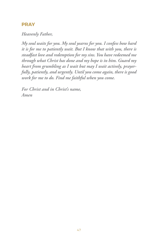### **PRAY**

### *Heavenly Father,*

*My soul waits for you. My soul yearns for you. I confess how hard it is for me to patiently wait. But I know that with you, there is steadfast love and redemption for my sins. You have redeemed me through what Christ has done and my hope is in him. Guard my heart from grumbling as I wait but may I wait actively, prayerfully, patiently, and urgently. Until you come again, there is good work for me to do. Find me faithful when you come.*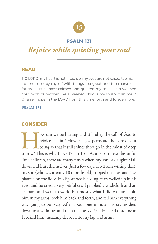

### **PSALM 131**

### *Rejoice while quieting your soul*

### **READ**

1 O LORD, my heart is not lifted up; my eyes are not raised too high; I do not occupy myself with things too great and too marvelous for me. 2 But I have calmed and quieted my soul, like a weaned child with its mother; like a weaned child is my soul within me. 3 O Israel, hope in the LORD from this time forth and forevermore.

#### **PSALM 131**

### **CONSIDER**

Tow can we be hurting and still obey the call of God to<br>rejoice in him? How can joy permeate the core of our<br>being so that it still shines through in the midst of deep<br>sorrow? This is why I love Psalm 131. As a papa to two rejoice in him? How can joy permeate the core of our being so that it still shines through in the midst of deep sorrow? This is why I love Psalm 131. As a papa to two beautiful little children, there are many times when my son or daughter fall down and hurt themselves. Just a few days ago (from writing this), my son (who is currently 18 months old) tripped on a toy and face planted on the floor. His lip started bleeding, tears welled up in his eyes, and he cried a very pitiful cry. I grabbed a washcloth and an ice pack and went to work. But mostly what I did was just hold him in my arms, rock him back and forth, and tell him everything was going to be okay. After about one minute, his crying died down to a whimper and then to a heavy sigh. He held onto me as I rocked him, nuzzling deeper into my lap and arms.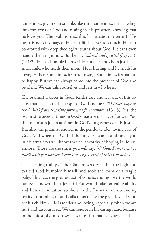Sometimes, joy in Christ looks like this. Sometimes, it is crawling into the arms of God and resting in his presence, knowing that he loves you. The psalmist describes his situation in verse 1. His heart is not encouraged. He can't lift his eyes too much. He isn't comforted with deep theological truths about God. He can't even handle them right now. But he has *"calmed and quieted [his] soul"* (131:2). He has humbled himself. He understands he is just like a small child who needs their mom. He is hurting and he needs his loving Father. Sometimes, it's hard to sing. Sometimes, it's hard to be happy. But we can always come into the presence of God and be silent. We can calm ourselves and rest in who he is.

The psalmist rejoices in God's tender care and it is out of this reality that he calls to the people of God and says, *"O Israel, hope in the LORD from this time forth and forevermore"* (131:3). Yes, the psalmist rejoices at times in God's massive displays of power. Yes, the psalmist rejoices at times in God's forgiveness or his justice. But also, the psalmist rejoices in the gentle, tender, loving care of God. And when the God of the universe comes and holds you in his arms, you will know that he is worthy of hoping in, forevermore. Those are the times you will say, *"O God, I can't wait to dwell with you forever. I could never get tired of this kind of love."* 

The startling reality of the Christmas story is that the high and exalted God humbled himself and took the form of a fragile baby. This was the greatest act of condescending love the world has ever known. That Jesus Christ would take on vulnerability and human limitation so show us the Father is an astounding reality. It humbles us and calls to us to see the great love of God for his children. He is tender and loving, especially when we are hurt and discouraged. We can rejoice in his caring hand because in the midst of our sorrows it is most intimately experienced.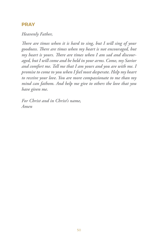### **PRAY**

### *Heavenly Father,*

*There are times when it is hard to sing, but I will sing of your goodness. There are times when my heart is not encouraged, but my heart is yours. There are times when I am sad and discouraged, but I will come and be held in your arms. Come, my Savior and comfort me. Tell me that I am yours and you are with me. I promise to come to you when I feel most desperate. Help my heart to receive your love. You are more compassionate to me than my mind can fathom. And help me give to others the love that you have given me.*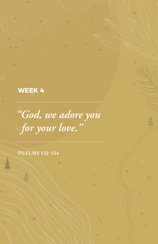**WEEK 4**

*"God, we adore you for your love."*

**PSALMS 132-134**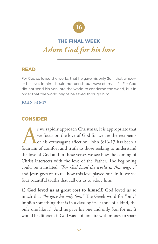

### **THE FINAL WEEK** *Adore God for his love*

### **READ**

For God so loved the world, that he gave his only Son, that whoever believes in him should not perish but have eternal life. For God did not send his Son into the world to condemn the world, but in order that the world might be saved through him.

### **JOHN 3:16-17**

### **CONSIDER**

s we rapidly approach Christmas, it is appropriate that<br>we focus on the love of God for we are the recipients<br>of his extravagant affection. John 3:16-17 has been a<br>fountain of comfort and truth to those seeking to understa we focus on the love of God for we are the recipients of his extravagant affection. John 3:16-17 has been a fountain of comfort and truth to those seeking to understand the love of God and in these verses we see how the coming of Christ intersects with the love of the Father. The beginning could be translated, *"For God loved the world in this way…"*  and Jesus goes on to tell how this love played out. In it, we see four beautiful truths that call on us to adore him.

**1) God loved us at great cost to himself.** God loved us so much that *"he gave his only Son."* The Greek word for "only" implies something that is in a class by itself (one of a kind, the only one like it). And he gave his one and only Son for us. It would be different if God was a billionaire with money to spare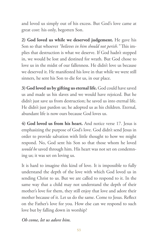and loved us simply out of his excess. But God's love came at great cost: his only, begotten Son.

**2) God loved us while we deserved judgement.** He gave his Son so that whoever *"believes in him should not perish."* This implies that destruction is what we deserve. If God hadn't stepped in, we would be lost and destined for wrath. But God chose to love us in the midst of our fallenness. He didn't love us because we deserved it. He manifested his love in that while we were still sinners, he sent his Son to die for us, in our place.

**3) God loved us by gifting us eternal life.** God could have saved us and made us his slaves and we would have rejoiced. But he didn't just save us from destruction; he saved us into eternal life. He didn't just pardon us; he adopted us as his children. Eternal, abundant life is now ours because God loves us.

**4) God loved us from his heart.** And notice verse 17. Jesus is emphasizing the purpose of God's love. God didn't send Jesus in order to provide salvation with little thought to how we might respond. No, God sent his Son so that those whom he loved *would be* saved through him. His heart was not set on condemning us; it was set on loving us.

It is hard to imagine this kind of love. It is impossible to fully understand the depth of the love with which God loved us in sending Christ to us. But we are called to respond to it. In the same way that a child may not understand the depth of their mother's love for them, they still enjoy that love and adore their mother because of it. Let us do the same. Come to Jesus. Reflect on the Father's love for you. How else can we respond to such love but by falling down in worship?

*Oh come, let us adore him.*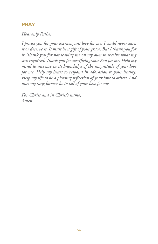### **PRAY**

*Heavenly Father,*

*I praise you for your extravagant love for me. I could never earn it or deserve it. It must be a gift of your grace. But I thank you for it. Thank you for not leaving me on my own to receive what my sins required. Thank you for sacrificing your Son for me. Help my mind to increase in its knowledge of the magnitude of your love for me. Help my heart to respond in adoration to your beauty. Help my life to be a pleasing reflection of your love to others. And may my song forever be to tell of your love for me.*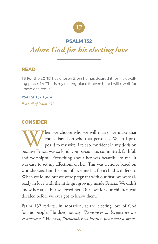

### **PSALM 132**

### *Adore God for his electing love*

### **READ**

13 For the LORD has chosen Zion; he has desired it for his dwelling place: 14 "This is my resting place forever; here I will dwell, for I have desired it."

**PSALM 132:13-14** *Read all of Psalm 132*

### **CONSIDER**

When we choose who we will marry, we make that<br>choice based on who that person is. When I pro-<br>posed to my wife, I felt so confident in my decision<br>because Felicia was so kind, compassionate, committed, faithful, choice based on who that person is. When I proposed to my wife, I felt so confident in my decision because Felicia was so kind, compassionate, committed, faithful, and worshipful. Everything about her was beautiful to me. It was easy to set my affections on her. This was a choice based on who she was. But the kind of love one has for a child is different. When we found out we were pregnant with our first, we were already in love with the little girl growing inside Felicia. We didn't know her at all but we loved her. Our love for our children was decided before we ever got to know them.

Psalm 132 reflects, in adoration, at the electing love of God for his people. He does not say, *"Remember us because we are so awesome."* He says, *"Remember us because you made a prom-*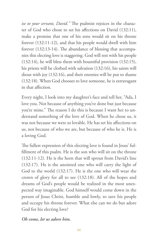*ise to your servant, David."* The psalmist rejoices in the character of God who chose to set his affections on David (132:11), make a promise that one of his sons would sit on his throne forever (132:11-12), and that his people would dwell with him forever (132:13-14). The abundance of blessing that accompanies this electing love is staggering. God will rest with his people (132:14), he will bless them with bountiful provision (132:15), his priests will be clothed with salvation (132:16), his saints will shout with joy (132:16), and their enemies will be put to shame (132:18). When God chooses to love someone, he is extravagant in that affection.

Every night, I look into my daughter's face and tell her, "Ada, I love you. Not because of anything you've done but just because you're mine." The reason I do this is because I want her to understand something of the love of God. When he chose us, it was not because we were so lovable. He has set his affections on us, not because of who we are, but because of who he is. He is a loving God.

The fullest expression of this electing love is found in Jesus' fulfillment of this psalm. He is the son who will sit on the throne (132:11-12). He is the horn that will sprout from David's line (132:17). He is the anointed one who will carry the light of God to the world (132:17). He is the one who will wear the crown of glory for all to see (132:18). All of the hopes and dreams of God's people would be realized in the most unexpected way imaginable. God himself would come down in the person of Jesus Christ, humble and lowly, to save his people and occupy his throne forever. What else can we do but adore God for his electing love?

*Oh come, let us adore him.*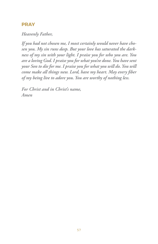### **PRAY**

*Heavenly Father,*

*If you had not chosen me, I most certainly would never have chosen you. My sin runs deep. But your love has saturated the darkness of my sin with your light. I praise you for who you are. You are a loving God. I praise you for what you've done. You have sent your Son to die for me. I praise you for what you will do. You will come make all things new. Lord, have my heart. May every fiber of my being live to adore you. You are worthy of nothing less.*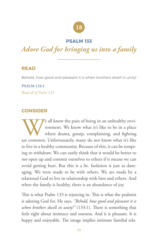## **18**

### **PSALM 133**

### *Adore God for bringing us into a family*

### **READ**

Behold, how good and pleasant it is when brothers dwell in unity!

**PSALM 133:1** *Read all of Psalm 133*

### **CONSIDER**

We all know the pain of being in an unhealthy environment. We know what it's like to be in a place where drama, gossip, complaining, and fighting are common. Unfortunately, many do not know what it's like ronment. We know what it's like to be in a place where drama, gossip, complaining, and fighting are common. Unfortunately, many do not know what it's like to live in a healthy community. Because of this, it can be tempting to withdraw. We can easily think that it would be better to *not* open up and commit ourselves to others if it means we can avoid getting hurt. But this is a lie. Isolation is just as damaging. We were made to be with others. We are made by a relational God to live in relationship with him and others. And when the family is healthy, there is an abundance of joy.

This is what Psalm 133 is rejoicing in. This is what the psalmist is adoring God for. He says, *"Behold, how good and pleasant it is when brothers dwell in unity!"* (133:1). There is something that feels right about intimacy and oneness. And it is pleasant. It is happy and enjoyable. The image implies intimate familial rela-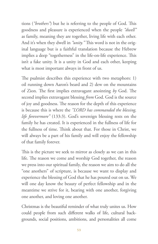tions (*"brothers"*) but he is referring to the people of God. This goodness and pleasure is experienced when the people *"dwell"*  as family, meaning they are together, living life with each other. And it's when they dwell in *"unity."* This word is not in the original language but is a faithful translation because the Hebrew implies a deep "togetherness" in the life-on-life experience. This isn't a fake unity. It is a unity in God and each other, keeping what is most important always in front of us.

The psalmist describes this experience with two metaphors: 1) oil running down Aaron's beard and 2) dew on the mountains of Zion. The first implies extravagant anointing *by* God. The second implies extravagant blessing *from* God. God is the source of joy and goodness. The reason for the depth of this experience is because this is where the *"LORD has commanded the blessing, life forevermore"* (133:3). God's sovereign blessing rests on the family he has created. It is experienced in the fullness of life for the fullness of time. Think about that. For those in Christ, we will always be a part of his family and will enjoy the fellowship of that family forever.

This is the picture we seek to mirror as closely as we can in this life. The reason we come and worship God together, the reason we press into our spiritual family, the reason we aim to do all the "one anothers" of scripture, is because we want to display and experience the blessing of God that he has poured out on us. We will one day know the beauty of perfect fellowship and in the meantime we strive for it, bearing with one another, forgiving one another, and loving one another.

Christmas is the beautiful reminder of what truly unites us. How could people from such different walks of life, cultural backgrounds, social positions, ambitions, and personalities all come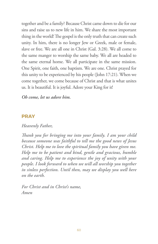together and be a family? Because Christ came down to die for our sins and raise us to new life in him. We share the most important thing in the world! The gospel is the only truth that can create such unity. In him, there is no longer Jew or Greek, male or female, slave or free. We are all one in Christ (Gal. 3:28). We all come to the same manger to worship the same baby. We all are headed to the same eternal home. We all participate in the same mission. One Spirit, one faith, one baptism. We are one. Christ prayed for this unity to be experienced by his people (John 17:21). When we come together, we come because of Christ and that is what unites us. It is beautiful. It is joyful. Adore your King for it!

*Oh come, let us adore him.*

### **PRAY**

*Heavenly Father,*

*Thank you for bringing me into your family. I am your child because someone was faithful to tell me the good news of Jesus Christ. Help me to love the spiritual family you have given me. Help me to be patient and kind, gentle and gracious, humble and caring. Help me to experience the joy of unity with your people. I look forward to when we will all worship you together in sinless perfection. Until then, may we display you well here on the earth.*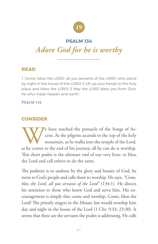

### **PSALM 134**

### *Adore God for he is worthy*

### **READ**

1 Come, bless the LORD, all you servants of the LORD, who stand by night in the house of the LORD! 2 Lift up your hands to the holy place and bless the LORD! 3 May the LORD bless you from Zion, he who made heaven and earth!

#### **PSALM 134**

### **CONSIDER**

We have reached the pinnacle of the Songs of Ascent. As the pilgrim ascends to the top of the holy mountain, as he walks into the temple of the Lord, as he comes to the end of his journey, all he can do is worship. cent. As the pilgrim ascends to the top of the holy mountain, as he walks into the temple of the Lord, as he comes to the end of his journey, all he can do is worship. This short psalm is the ultimate end of our very lives: to bless the Lord and call others to do the same.

The psalmist is so undone by the glory and beauty of God, he turns to God's people and calls them to worship. He says, *"Come, bless the Lord, all you servants of the Lord"* (134:1). He directs his attention to those who know God and serve him. His encouragement is simply this: come and worship. Come, bless the Lord! The priestly singers in the Mosaic law would worship him day and night in the house of the Lord (1 Chr. 9:33; 23:30). It seems that these are the servants the psalm is addressing. He calls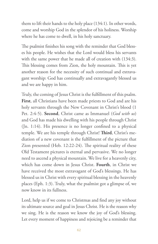them to lift their hands to the holy place (134:1). In other words, come and worship God in the splendor of his holiness. Worship where he has come to dwell, in his holy sanctuary.

The psalmist finishes his song with the reminder that God blesses his people. He wishes that the Lord would bless his servants with the same power that he made all of creation with  $(134:3)$ . This blessing comes from Zion, the holy mountain. This is yet another reason for the necessity of such continual and extravagant worship: God has continually and extravagantly blessed us and we are happy in him.

Truly, the coming of Jesus Christ is the fulfillment of this psalm. **First**, all Christians have been made priests to God and are his holy servants through the New Covenant in Christ's blood (1 Pet. 2:4-5). **Second**, Christ came as Immanuel (*God with us*) and God has made his dwelling with his people through Christ (Jn. 1:14). His presence is no longer confined to a physical temple. We are his temple through Christ! **Third**, Christ's mediation of a new covenant is the fulfillment of the picture that Zion presented (Heb. 12:22-24). The spiritual reality of these Old Testament pictures is eternal and pervasive. We no longer need to ascend a physical mountain. We live for a heavenly city, which has come down in Jesus Christ. **Fourth**, in Christ we have received the most extravagant of God's blessings. He has blessed us in Christ with every spiritual blessing in the heavenly places (Eph. 1:3). Truly, what the psalmist got a glimpse of, we now know in its fullness.

Lord, help us if we come to Christmas and find any joy without its ultimate source and goal in Jesus Christ. He is the reason why we sing. He is the reason we know the joy of God's blessing. Let every moment of happiness and rejoicing be a reminder that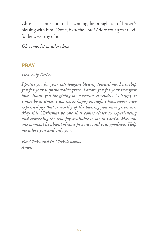Christ has come and, in his coming, he brought all of heaven's blessing with him. Come, bless the Lord! Adore your great God, for he is worthy of it.

*Oh come, let us adore him.* 

### **PRAY**

*Heavenly Father,*

*I praise you for your extravagant blessing toward me. I worship you for your unfathomable grace. I adore you for your steadfast love. Thank you for giving me a reason to rejoice. As happy as I may be at times, I am never happy enough. I have never once expressed joy that is worthy of the blessing you have given me. May this Christmas be one that comes closer to experiencing and expressing the true joy available to me in Christ. May not one moment be absent of your presence and your goodness. Help me adore you and only you.*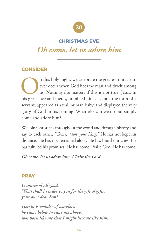

### **CHRISTMAS EVE**

### *Oh come, let us adore him*

### **CONSIDER**

In this holy night, we celebrate the greatest miracle to ever occur when God became man and dwelt among us. Nothing else matters if this is not true. Jesus, in his great love and mercy, humbled himself, took the form of a ever occur when God became man and dwelt among us. Nothing else matters if this is not true. Jesus, in his great love and mercy, humbled himself, took the form of a servant, appeared as a frail human baby, and displayed the very glory of God in his coming. What else can we do but simply come and adore him?

We join Christians throughout the world and through history and say to each other, *"Come, adore your King."* He has not kept his distance. He has not remained aloof. He has heard our cries. He has fulfilled his promises. He has come. Praise God! He has come.

*Oh come, let us adore him. Christ the Lord.* 

### **PRAY**

*O source of all good, What shall I render to you for the gift of gifts, your own dear Son?*

*Herein is wonder of wonders: he came below to raise me above, was born like me that I might become like him.*